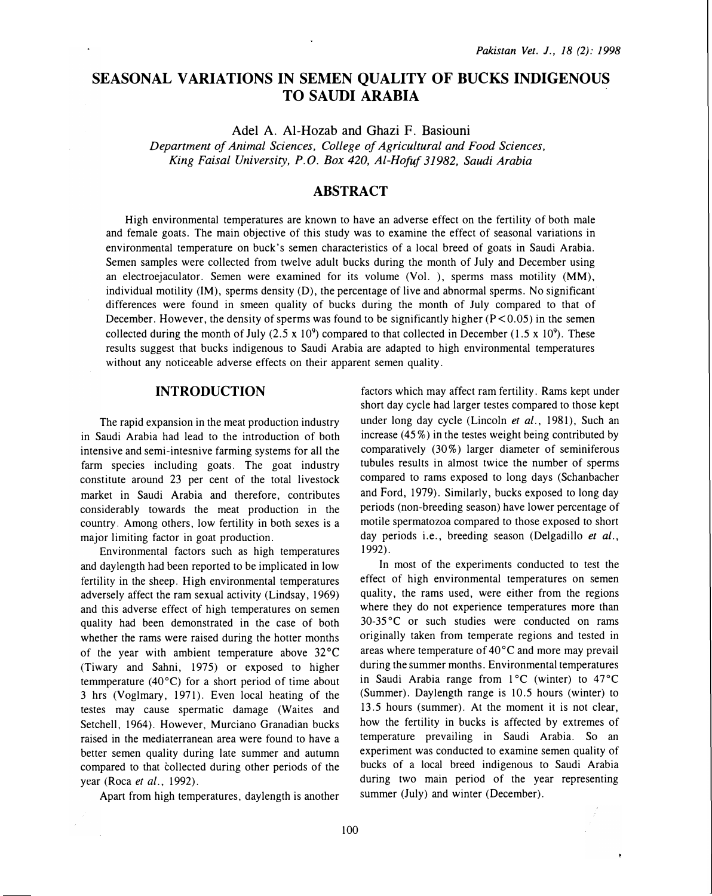# SEASONAL VARIATIONS IN SEMEN QUALITY OF BUCKS INDIGENOUS TO SAUDI ARABIA

AdelA. Al-Hozab and Ghazi F. Basiouni

Department of Animal Sciences, College of Agricultural and Food Sciences, King Faisal University, P.O. Box 420, Al-Hofuf 31982, Saudi Arabia

# ABSTRACT

High environmental temperatures are known to have an adverse effect on the fertility of both male and female goats. The main objective of this study was to examine the effect of seasonal variations in environmental temperature on buck's semen characteristics of a local breed of goats in Saudi Arabia. Semen samples were collected from twelve adult bucks during the month of July and December using an electroejaculator. Semen were examined for its volume (Vol. ), sperms mass motility (MM), individual motility (IM), sperms density (D), the percentage of live and abnormal sperms. No significant' differences were found in smeen quality of bucks during the month of July compared to that of December. However, the density of sperms was found to be significantly higher  $(P < 0.05)$  in the semen collected during the month of July (2.5 x 10<sup>9</sup>) compared to that collected in December (1.5 x 10<sup>9</sup>). These results suggest that bucks indigenous to Saudi Arabia are adapted to high environmental temperatures without any noticeable adverse effects on their apparent semen quality.

# INTRODUCTION

The rapid expansion in the meat production industry in Saudi Arabia had lead to the introduction of both intensive and semi-intesnive farming systems for all the farm species including goats. The goat industry constitute around 23 per cent of the total livestock market in Saudi Arabia and therefore, contributes considerably towards the meat production in the country. Among others, low fertility in both sexes is a major limiting factor in goat production.

Environmental factors such as high temperatures and daylength had been reported to be implicated in low fertility in the sheep. High environmental temperatures adversely affect the ram sexual activity (Lindsay, 1969) and this adverse effect of high temperatures on semen quality had been demonstrated in the case of both whether the rams were raised during the hotter months of the year with ambient temperature above  $32^{\circ}$ C (Tiwary and Sahni, 1975) or exposed to higher temmperature (40 $^{\circ}$ C) for a short period of time about 3 hrs (Voglmary, 1971). Even local heating of the testes may cause spermatic damage (Waites and Setchell, 1964). However, Murciano Granadian bucks raised in the mediaterranean area were found to have a better semen quality during late summer and autumn compared to that collected during other periods of the year (Roca et al., 1992).

Apart from high temperatures, daylength is another

factors which may affect ram fertility. Rams kept under short day cycle had larger testes compared to those kept under long day cycle (Lincoln et al., 1981), Such an increase  $(45\%)$  in the testes weight being contributed by comparatively (30%) larger diameter of seminiferous tubules results in almost twice the number of sperms compared to rams exposed to long days (Schanbacher and Ford, 1979). Similarly, bucks exposed to long day periods (non-breeding season) have lower percentage of motile spermatozoa compared to those exposed to short day periods i.e., breeding season (Delgadillo et al., 1992).

In most of the experiments conducted to test the effect of high environmental temperatures on semen quality, the rams used, were either from the regions where they do not experience temperatures more than 30-35 °C or such studies were conducted on rams originally taken from temperate regions and tested in areas where temperature of 40°C and more may prevail during the summer months. Environmental temperatures in Saudi Arabia range from  $1^{\circ}$ C (winter) to  $47^{\circ}$ C (Summer). Daylength range is 10.5 hours (winter) to 13.5 hours (summer). At the moment it is not clear, how the fertility in bucks is affected by extremes of temperature prevailing in Saudi Arabia. So an experiment was conducted to examine semen quality of bucks of a local breed indigenous to Saudi Arabia during two main period of the year representing summer (July) and winter (December).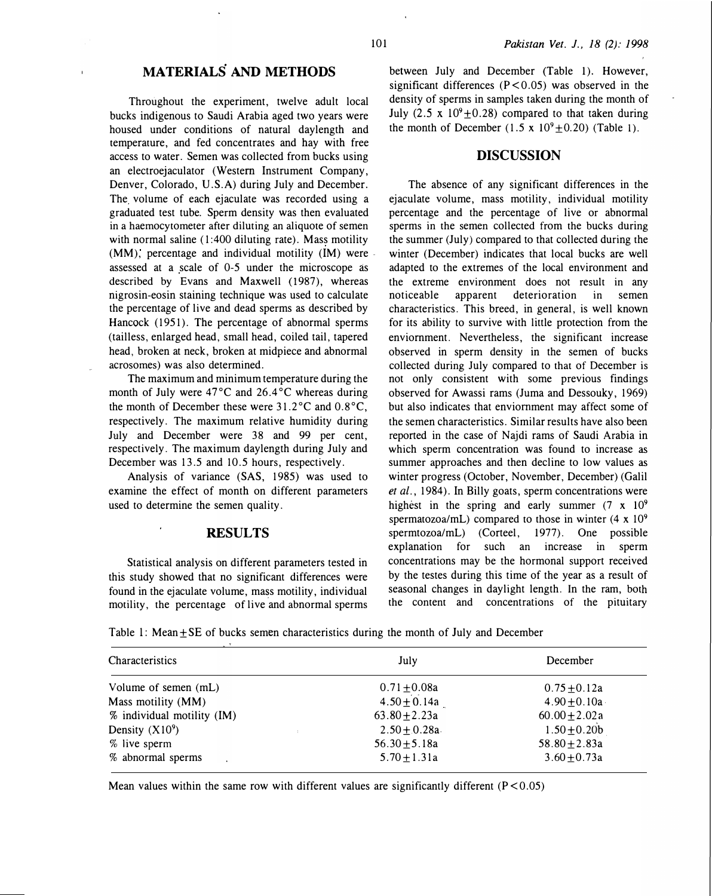Throughout the experiment, twelve adult local bucks indigenous to Saudi Arabia aged two years were housed under conditions of natural daylength and temperature, and fed concentrates and hay with free access to water. Semen was collected from bucks using an electroejaculator (Western Instrument Company, Denver, Colorado, U.S.A) during July and December. The volume of each ejaculate was recorded using a graduated test tube. Sperm density was then evaluated in a haemocytometer after diluting an aliquote of semen with normal saline  $(1:400$  diluting rate). Mass motility (MM), percentage and individual motility (IM) were assessed at a scale of 0-5 under the microscope as described by Evans and Maxwell (1987), whereas nigrosin-eosin staining technique was used to calculate the percentage of live and dead sperms as described by Hancock (1951). The percentage of abnormal sperms (tailless, enlarged head, small head, coiled tail, tapered head, broken at neck, broken at midpiece and abnormal acrosomes) was also determined.

The maximum and minimum temperature during the month of July were 47°C and 26.4°C whereas during the month of December these were 31.2°C and 0.8°C, respectively. The maximum relative humidity during July and December were 38 and 99 per cent, respectively. The maximum daylength during July and December was 13.5 and 10.5 hours, respectively.

Analysis of variance (SAS, 1985) was used to examine the effect of month on different parameters used to determine the semen quality.

#### RESULTS

Statistical analysis on different parameters tested in this study showed that no significant differences were found in the ejaculate volume, ma�s motility, individual motility, the percentage of live and abnormal sperms between July and December (Table 1). However, significant differences  $(P < 0.05)$  was observed in the density of sperms in samples taken during the month of July (2.5 x  $10^9 \pm 0.28$ ) compared to that taken during the month of December (1.5 x  $10^9 \pm 0.20$ ) (Table 1).

# DISCUSSION

The absence of any significant differences in the ejaculate volume, mass motility, individual motility percentage and the percentage of live or abnormal sperms in the semen collected from the bucks during the summer (July) compared to that collected during the winter (December) indicates that local bucks are well adapted to the extremes of the local environment and the extreme environment does not result in any noticeable apparent deterioration in semen characteristics. This breed, in general, is well known for its ability to survive with little protection from the enviornment. Nevertheless, the significant increase observed in sperm density in the semen of bucks collected during July compared to that of December is not only consistent with some previous findings observed for Awassi rams (Juma and Dessouky, 1969) but also indicates that enviornment may affect some of the semen characteristics . Similar results have also been reported in the case of Najdi rams of Saudi Arabia in which sperm concentration was found to increase as summer approaches and then decline to low values as winter progress (October, November, December) (Galil et al., 1984). In Billy goats, sperm concentrations were highest in the spring and early summer  $(7 \times 10^9)$ spermatozoa/mL) compared to those in winter  $(4 \times 10^9)$ spermtozoa/mL) (Corteel, 1977). One possible explanation for such an increase in sperm concentrations may be the hormonal support received by the testes during this time of the year as a result of seasonal changes in daylight length. In the ram, both the content and concentrations of the pituitary

Table 1: Mean $\pm$ SE of bucks semen characteristics during the month of July and December

| Characteristics            | July              | December           |
|----------------------------|-------------------|--------------------|
| Volume of semen (mL)       | $0.71 \pm 0.08a$  | $0.75 + 0.12a$     |
| Mass motility (MM)         | $4.50 \pm 0.14a$  | $4.90 \pm 0.10a$   |
| % individual motility (IM) | 63.80 $\pm$ 2.23a | $60.00 \pm 2.02 a$ |
| Density $(X10^9)$          | $2.50 \pm 0.28a$  | $1.50 \pm 0.20$    |
| % live sperm               | 56.30 $\pm$ 5.18a | 58.80 $\pm$ 2.83a  |
| % abnormal sperms          | $5.70 \pm 1.31a$  | $3.60 + 0.73a$     |

Mean values within the same row with different values are significantly different  $(P < 0.05)$